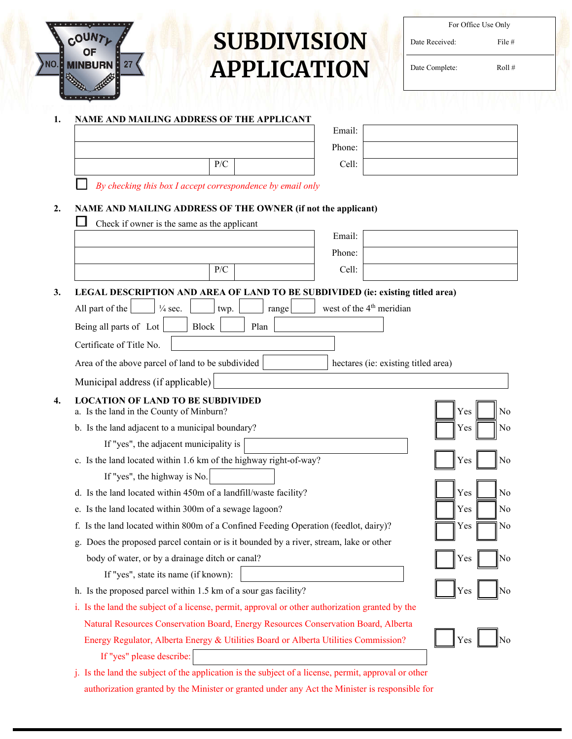

# **SUBDIVISION APPLICATION**

| For Office Use Only |          |  |
|---------------------|----------|--|
| Date Received:      | File $#$ |  |
| Date Complete:      | Roll#    |  |

# **1. NAME AND MAILING ADDRESS OF THE APPLICANT**

|     | Eman.  |
|-----|--------|
|     | Phone: |
| P/C | Cell:  |
|     |        |

| Email: |  |
|--------|--|
| Phone: |  |
| Cell:  |  |

*By checking this box I accept correspondence by email only*

## **2. NAME AND MAILING ADDRESS OF THE OWNER (if not the applicant)**

| Check if owner is the same as the applicant                                                          |                                      |           |
|------------------------------------------------------------------------------------------------------|--------------------------------------|-----------|
|                                                                                                      | Email:                               |           |
|                                                                                                      | Phone:                               |           |
| P/C                                                                                                  | Cell:                                |           |
| LEGAL DESCRIPTION AND AREA OF LAND TO BE SUBDIVIDED (ie: existing titled area)                       |                                      |           |
| All part of the<br>$\frac{1}{4}$ sec.<br>twp.<br>range                                               | west of the 4 <sup>th</sup> meridian |           |
| Being all parts of Lot<br><b>Block</b><br>Plan                                                       |                                      |           |
| Certificate of Title No.                                                                             |                                      |           |
| Area of the above parcel of land to be subdivided                                                    | hectares (ie: existing titled area)  |           |
| Municipal address (if applicable)                                                                    |                                      |           |
| <b>LOCATION OF LAND TO BE SUBDIVIDED</b>                                                             |                                      |           |
| a. Is the land in the County of Minburn?                                                             |                                      | Yes<br>No |
| b. Is the land adjacent to a municipal boundary?                                                     |                                      | Yes<br>No |
| If "yes", the adjacent municipality is                                                               |                                      |           |
| c. Is the land located within 1.6 km of the highway right-of-way?                                    |                                      | Yes<br>No |
| If "yes", the highway is No.                                                                         |                                      |           |
| d. Is the land located within 450m of a landfill/waste facility?                                     |                                      | Yes<br>No |
| e. Is the land located within 300m of a sewage lagoon?                                               |                                      | Yes<br>No |
| f. Is the land located within 800m of a Confined Feeding Operation (feedlot, dairy)?                 |                                      | No<br>Yes |
| g. Does the proposed parcel contain or is it bounded by a river, stream, lake or other               |                                      |           |
| body of water, or by a drainage ditch or canal?                                                      |                                      | No<br>Yes |
| If "yes", state its name (if known):                                                                 |                                      |           |
| h. Is the proposed parcel within 1.5 km of a sour gas facility?                                      |                                      | No<br>Yes |
| i. Is the land the subject of a license, permit, approval or other authorization granted by the      |                                      |           |
| Natural Resources Conservation Board, Energy Resources Conservation Board, Alberta                   |                                      |           |
| Energy Regulator, Alberta Energy & Utilities Board or Alberta Utilities Commission?                  |                                      | Yes       |
| If "yes" please describe:                                                                            |                                      |           |
| j. Is the land the subject of the application is the subject of a license, permit, approval or other |                                      |           |

authorization granted by the Minister or granted under any Act the Minister is responsible for